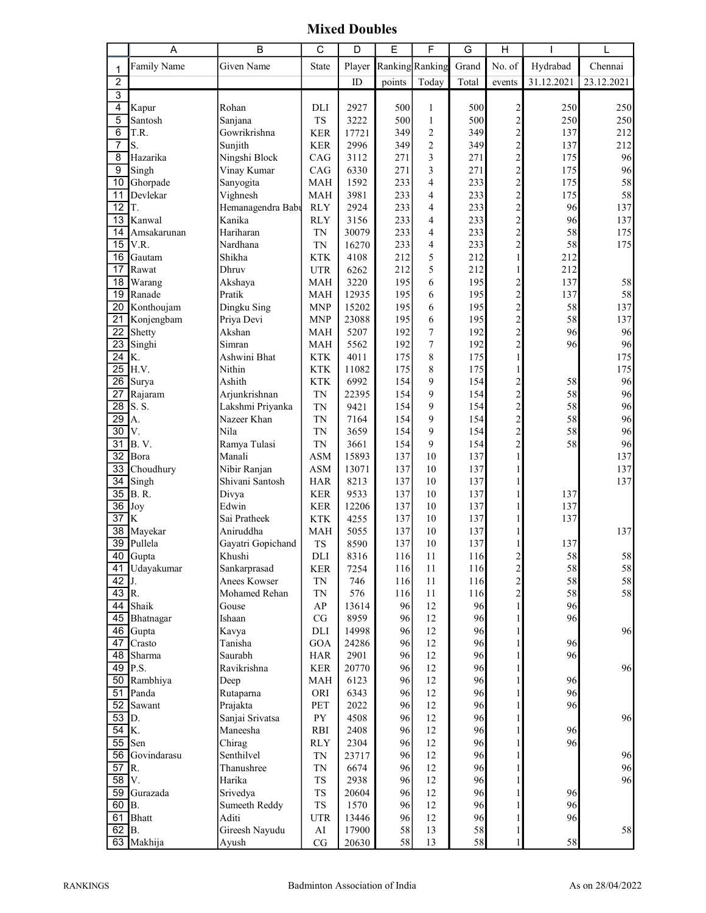Mixed Doubles

|                 | Α                     | B                 | С                        | D            | Е          | F                     | G          | Н                                                    |            | L          |
|-----------------|-----------------------|-------------------|--------------------------|--------------|------------|-----------------------|------------|------------------------------------------------------|------------|------------|
| 1               | Family Name           | Given Name        | State                    | Player       |            | Ranking Ranking       | Grand      | No. of                                               | Hydrabad   | Chennai    |
| 2               |                       |                   |                          | $\rm ID$     | points     | Today                 | Total      | events                                               | 31.12.2021 | 23.12.2021 |
| 3               |                       |                   |                          |              |            |                       |            |                                                      |            |            |
| 4               | Kapur                 | Rohan             | DLI                      | 2927         | 500        | $\mathbf{1}$          | 500        |                                                      | 250        | 250        |
| 5               | Santosh               | Sanjana           | <b>TS</b>                | 3222         | 500        | $\mathbf{1}$          | 500        | 2 2 2 2 2 2 2 2 2 2 2 2                              | 250        | 250        |
| 6               | T.R.                  | Gowrikrishna      | <b>KER</b>               | 17721        | 349        | $\overline{c}$        | 349        |                                                      | 137        | 212        |
| 7               | S.                    | Sunjith           | <b>KER</b>               | 2996         | 349        | $\overline{c}$        | 349        |                                                      | 137        | 212        |
| 8               | Hazarika              | Ningshi Block     | CAG                      | 3112         | 271        | 3                     | 271        |                                                      | 175        | 96         |
| 9               | Singh                 | Vinay Kumar       | CAG                      | 6330         | 271        | 3                     | 271        |                                                      | 175        | 96         |
| 10              | Ghorpade              | Sanyogita         | <b>MAH</b>               | 1592         | 233        | 4                     | 233        |                                                      | 175        | 58         |
| 11              | Devlekar              | Vighnesh          | <b>MAH</b>               | 3981         | 233        | 4                     | 233        |                                                      | 175        | 58         |
| 12              | T.                    | Hemanagendra Baby | <b>RLY</b>               | 2924         | 233        | 4                     | 233        |                                                      | 96         | 137        |
| $\overline{13}$ | Kanwal                | Kanika            | <b>RLY</b>               | 3156         | 233        | 4                     | 233        |                                                      | 96         | 137        |
| 14              | Amsakarunan           | Hariharan         | <b>TN</b>                | 30079        | 233        | 4                     | 233        |                                                      | 58         | 175        |
| $\overline{15}$ | V.R.                  | Nardhana          | <b>TN</b>                | 16270        | 233        | 4                     | 233        | $\overline{2}$                                       | 58         | 175        |
| 16              | Gautam                | Shikha            | <b>KTK</b>               | 4108         | 212        | 5                     | 212        | $\mathbf{1}$                                         | 212        |            |
| 17              | Rawat                 | Dhruv             | <b>UTR</b>               | 6262         | 212        | 5                     | 212        | $\mathbf{1}$                                         | 212        |            |
| 18              | Warang                | Akshaya           | <b>MAH</b>               | 3220         | 195        | 6                     | 195        |                                                      | 137        | 58         |
| 19              | Ranade                | Pratik            | <b>MAH</b>               | 12935        | 195        | 6                     | 195        | $\begin{array}{c} 2 \\ 2 \\ 2 \\ 2 \\ 2 \end{array}$ | 137        | 58         |
| 20              | Konthoujam            | Dingku Sing       | <b>MNP</b>               | 15202        | 195        | 6                     | 195        |                                                      | 58         | 137        |
| $\overline{21}$ | Konjengbam            | Priya Devi        | <b>MNP</b>               | 23088        | 195        | 6                     | 195        |                                                      | 58         | 137        |
| 22<br>23        | Shetty                | Akshan<br>Simran  | <b>MAH</b>               | 5207         | 192        | $\boldsymbol{7}$<br>7 | 192        |                                                      | 96         | 96         |
| $\overline{24}$ | Singhi<br>K.          | Ashwini Bhat      | <b>MAH</b><br><b>KTK</b> | 5562<br>4011 | 192<br>175 | 8                     | 192<br>175 | $\mathbf{1}$                                         | 96         | 96<br>175  |
| $\overline{25}$ | H.V.                  | Nithin            | <b>KTK</b>               | 11082        | 175        | 8                     | 175        | $\mathbf{1}$                                         |            | 175        |
| $\overline{26}$ | Surya                 | Ashith            | <b>KTK</b>               | 6992         | 154        | 9                     | 154        |                                                      | 58         | 96         |
| 27              | Rajaram               | Arjunkrishnan     | TN                       | 22395        | 154        | 9                     | 154        |                                                      | 58         | 96         |
| $\overline{28}$ | S. S.                 | Lakshmi Priyanka  | <b>TN</b>                | 9421         | 154        | 9                     | 154        |                                                      | 58         | 96         |
| $\overline{29}$ | A.                    | Nazeer Khan       | <b>TN</b>                | 7164         | 154        | 9                     | 154        | $\begin{array}{c}\n2 \\ 2 \\ 2 \\ 2\n\end{array}$    | 58         | 96         |
| $\overline{30}$ | V.                    | Nila              | <b>TN</b>                | 3659         | 154        | 9                     | 154        |                                                      | 58         | 96         |
| $\overline{31}$ | B.V.                  | Ramya Tulasi      | <b>TN</b>                | 3661         | 154        | 9                     | 154        |                                                      | 58         | 96         |
| $\overline{32}$ | Bora                  | Manali            | ASM                      | 15893        | 137        | 10                    | 137        | $\mathbf{1}$                                         |            | 137        |
| 33              | Choudhury             | Nibir Ranjan      | <b>ASM</b>               | 13071        | 137        | 10                    | 137        | $\mathbf{1}$                                         |            | 137        |
| $\overline{34}$ | Singh                 | Shivani Santosh   | <b>HAR</b>               | 8213         | 137        | 10                    | 137        | 1                                                    |            | 137        |
| $\overline{35}$ | <b>B.R.</b>           | Divya             | <b>KER</b>               | 9533         | 137        | 10                    | 137        | $\mathbf{1}$                                         | 137        |            |
| 36              | Joy                   | Edwin             | <b>KER</b>               | 12206        | 137        | 10                    | 137        | 1                                                    | 137        |            |
| $\overline{37}$ | K                     | Sai Pratheek      | <b>KTK</b>               | 4255         | 137        | 10                    | 137        | 1                                                    | 137        |            |
| 38              | Mayekar               | Aniruddha         | <b>MAH</b>               | 5055         | 137        | 10                    | 137        | 1                                                    |            | 137        |
| $\overline{39}$ | Pullela               | Gayatri Gopichand | TS                       | 8590         | 137        | 10                    | 137        | 1                                                    | 137        |            |
| 40              | Gupta                 | Khushi            | DLI                      | 8316         | 116        | 11                    | 116        | $\overline{2}$                                       | 58         | 58         |
| 41              | Udayakumar            | Sankarprasad      | <b>KER</b>               | 7254         | 116        | 11                    | 116        |                                                      | 58         | 58         |
| 42              |                       | Anees Kowser      | TN                       | 746          | 116        | 11                    | 116        |                                                      | 58         | 58         |
| $43$ R.         |                       | Mohamed Rehan     | TN                       | 576          | 116        | 11                    | 116        | $\begin{array}{c} 2 \\ 2 \\ 2 \\ 1 \end{array}$      | 58         | 58         |
| 44              | Shaik                 | Gouse             | AP                       | 13614        | 96         | 12                    | 96         |                                                      | 96         |            |
| 45              | Bhatnagar             | Ishaan            | CG                       | 8959         | 96         | 12                    | 96         | $\mathbf{1}$                                         | 96         |            |
|                 | $\overline{46}$ Gupta | Kavya             | DLI                      | 14998        | 96         | 12                    | 96         | $\mathbf{1}$                                         |            | 96         |
| 47              | Crasto                | Tanisha           | GOA                      | 24286        | 96         | 12                    | 96         | $\mathbf{1}$                                         | 96         |            |
|                 | 48 Sharma<br>P.S.     | Saurabh           | <b>HAR</b>               | 2901         | 96         | 12                    | 96         | $\mathbf{1}$<br>$\mathbf{1}$                         | 96         |            |
| 49<br>50        | Rambhiya              | Ravikrishna       | <b>KER</b>               | 20770        | 96<br>96   | 12<br>12              | 96<br>96   | $\mathbf{1}$                                         | 96         | 96         |
| 51              | Panda                 | Deep<br>Rutaparna | MAH<br>ORI               | 6123<br>6343 | 96         | 12                    | 96         | $\mathbf{1}$                                         | 96         |            |
| 52              | Sawant                | Prajakta          | PET                      | 2022         | 96         | 12                    | 96         | $\mathbf{1}$                                         | 96         |            |
| 53              | D.                    | Sanjai Srivatsa   | ${\rm PY}$               | 4508         | 96         | 12                    | 96         | $\mathbf{1}$                                         |            | 96         |
| $\overline{54}$ | K.                    | Maneesha          | RBI                      | 2408         | 96         | 12                    | 96         | $\mathbf{1}$                                         | 96         |            |
| $\overline{55}$ | Sen                   | Chirag            | <b>RLY</b>               | 2304         | 96         | 12                    | 96         | $\mathbf{1}$                                         | 96         |            |
| 56              | Govindarasu           | Senthilvel        | TN                       | 23717        | 96         | 12                    | 96         | $\mathbf{1}$                                         |            | 96         |
| $\overline{57}$ | R.                    | Thanushree        | <b>TN</b>                | 6674         | 96         | 12                    | 96         | $\mathbf{1}$                                         |            | 96         |
| 58              | V.                    | Harika            | ${\rm TS}$               | 2938         | 96         | 12                    | 96         | $\mathbf{1}$                                         |            | 96         |
| 59              | Gurazada              | Srivedya          | ${\rm TS}$               | 20604        | 96         | 12                    | 96         | $\mathbf{1}$                                         | 96         |            |
| 60              | B.                    | Sumeeth Reddy     | ${\rm TS}$               | 1570         | 96         | 12                    | 96         | $\mathbf{1}$                                         | 96         |            |
| 61              | <b>Bhatt</b>          | Aditi             | <b>UTR</b>               | 13446        | 96         | 12                    | 96         | $\mathbf{1}$                                         | 96         |            |
| 62              | IB.                   | Gireesh Nayudu    | AI                       | 17900        | 58         | 13                    | 58         | $\mathbf{1}$                                         |            | 58         |
|                 | 63 Makhija            | Ayush             | CG                       | 20630        | 58         | 13                    | 58         | $\mathbf{1}$                                         | 58         |            |